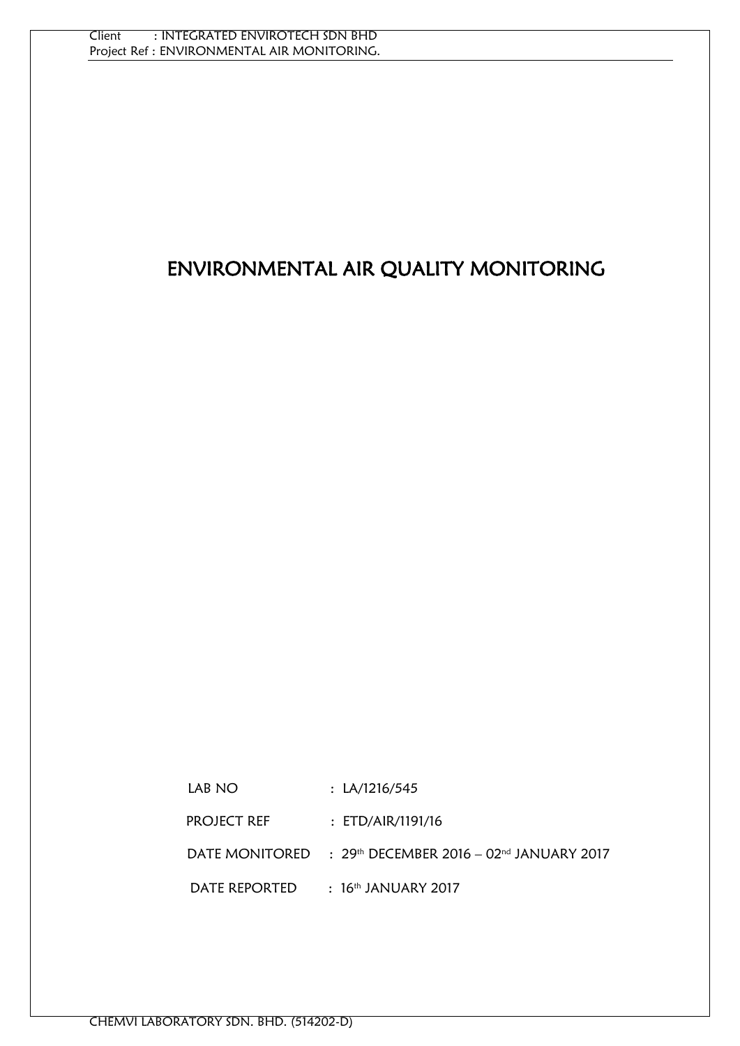# ENVIRONMENTAL AIR QUALITY MONITORING

| LAB NO        | : LA/1216/545                                                       |
|---------------|---------------------------------------------------------------------|
| PROJECT REF   | : ETD/AIR/1191/16                                                   |
|               | DATE MONITORED $\rightarrow$ 29th DECEMBER 2016 – 02nd JANUARY 2017 |
| DATE REPORTED | $\pm$ 16th JANUARY 2017                                             |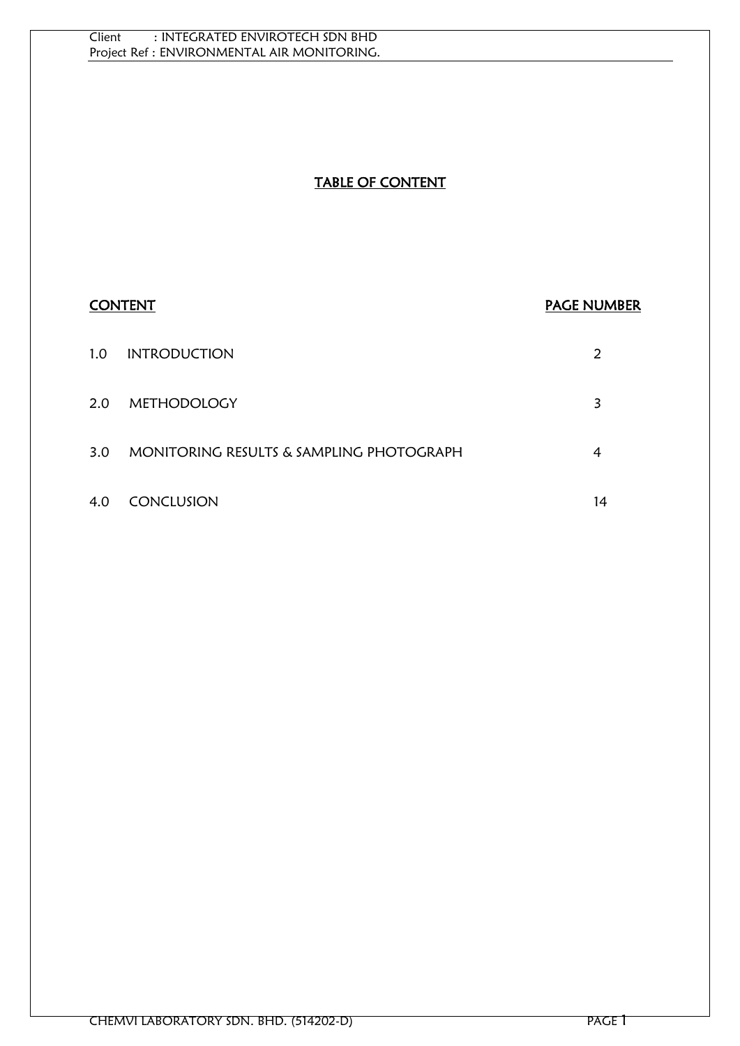# TABLE OF CONTENT

# **CONTENT CONTENT CONTENT** 1.0 INTRODUCTION 2 2.0 METHODOLOGY 3 3.0 MONITORING RESULTS & SAMPLING PHOTOGRAPH 4 4.0 CONCLUSION 14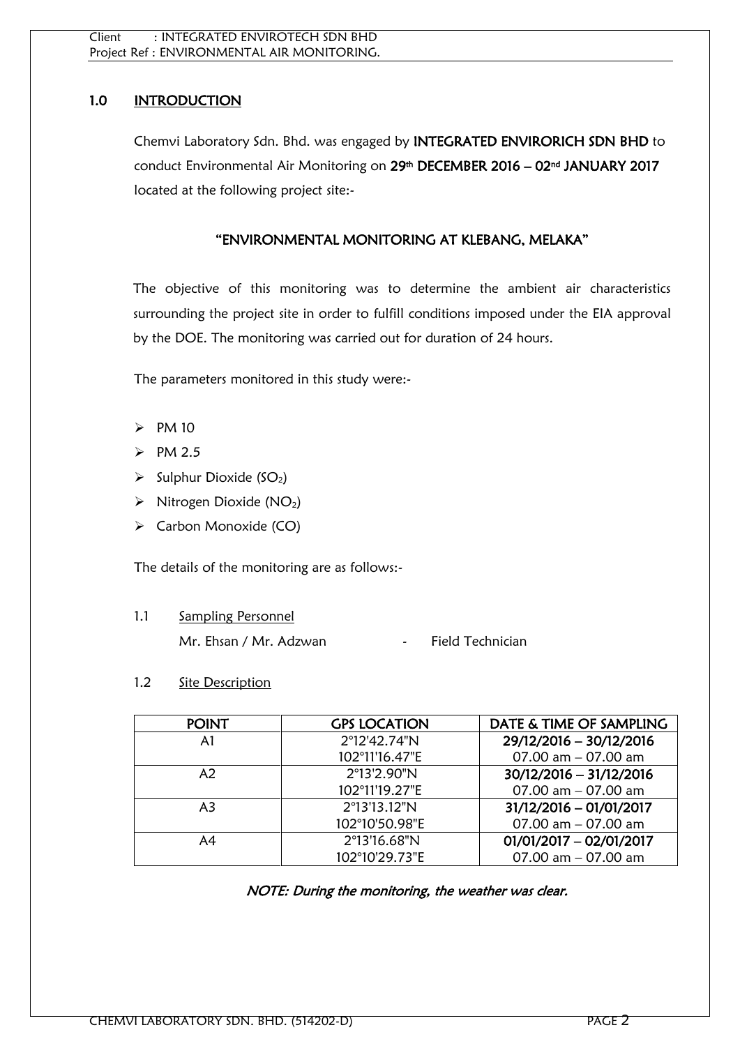# 1.0 INTRODUCTION

Chemvi Laboratory Sdn. Bhd. was engaged by INTEGRATED ENVIRORICH SDN BHD to conduct Environmental Air Monitoring on 29<sup>th</sup> DECEMBER 2016 – 02<sup>nd</sup> JANUARY 2017 located at the following project site:-

# "ENVIRONMENTAL MONITORING AT KLEBANG, MELAKA"

The objective of this monitoring was to determine the ambient air characteristics surrounding the project site in order to fulfill conditions imposed under the EIA approval by the DOE. The monitoring was carried out for duration of 24 hours.

The parameters monitored in this study were:-

- $\triangleright$  PM 10
- $\triangleright$  PM 2.5
- $\triangleright$  Sulphur Dioxide (SO<sub>2</sub>)
- $\triangleright$  Nitrogen Dioxide (NO<sub>2</sub>)
- Carbon Monoxide (CO)

The details of the monitoring are as follows:-

1.1 Sampling Personnel Mr. Ehsan / Mr. Adzwan - Field Technician

#### 1.2 Site Description

| <b>POINT</b> | <b>GPS LOCATION</b> | DATE & TIME OF SAMPLING   |
|--------------|---------------------|---------------------------|
| A1           | 2°12'42.74"N        | 29/12/2016 - 30/12/2016   |
|              | 102°11'16.47"E      | 07.00 $am - 07.00$ am     |
| A2           | 2°13'2.90"N         | 30/12/2016 - 31/12/2016   |
|              | 102°11'19.27"E      | 07.00 $am - 07.00$ am     |
| A3           | 2°13'13.12"N        | 31/12/2016 - 01/01/2017   |
|              | 102°10'50.98"E      | 07.00 $am - 07.00$ am     |
| A4           | 2°13'16.68"N        | $01/01/2017 - 02/01/2017$ |
|              | 102°10'29.73"E      | 07.00 $am - 07.00$ am     |

NOTE: During the monitoring, the weather was clear.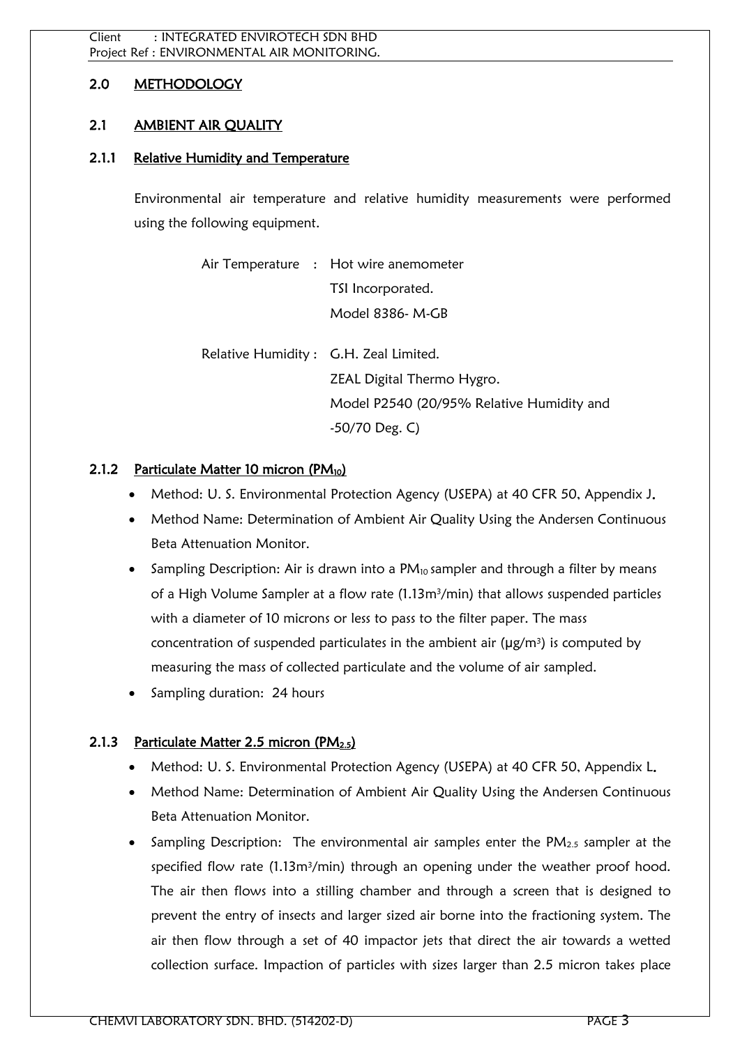# 2.0 METHODOLOGY

# 2.1 AMBIENT AIR QUALITY

#### 2.1.1 Relative Humidity and Temperature

Environmental air temperature and relative humidity measurements were performed using the following equipment.

| Air Temperature : Hot wire anemometer     |
|-------------------------------------------|
| TSI Incorporated.                         |
| Model 8386- M-GB                          |
|                                           |
| Relative Humidity: G.H. Zeal Limited.     |
| ZEAL Digital Thermo Hygro.                |
| Model P2540 (20/95% Relative Humidity and |
| $-50/70$ Deg. C)                          |

#### 2.1.2 Particulate Matter 10 micron  $(PM_{10})$

- Method: U. S. Environmental Protection Agency (USEPA) at 40 CFR 50, Appendix J.
- Method Name: Determination of Ambient Air Quality Using the Andersen Continuous Beta Attenuation Monitor.
- Sampling Description: Air is drawn into a  $PM_{10}$  sampler and through a filter by means of a High Volume Sampler at a flow rate (1.13m3/min) that allows suspended particles with a diameter of 10 microns or less to pass to the filter paper. The mass concentration of suspended particulates in the ambient air  $(\mu g/m^3)$  is computed by measuring the mass of collected particulate and the volume of air sampled.
- Sampling duration: 24 hours

# 2.1.3 Particulate Matter 2.5 micron (PM2.5)

- Method: U. S. Environmental Protection Agency (USEPA) at 40 CFR 50, Appendix L.
- Method Name: Determination of Ambient Air Quality Using the Andersen Continuous Beta Attenuation Monitor.
- Sampling Description: The environmental air samples enter the  $PM<sub>2.5</sub>$  sampler at the specified flow rate (1.13m<sup>3</sup>/min) through an opening under the weather proof hood. The air then flows into a stilling chamber and through a screen that is designed to prevent the entry of insects and larger sized air borne into the fractioning system. The air then flow through a set of 40 impactor jets that direct the air towards a wetted collection surface. Impaction of particles with sizes larger than 2.5 micron takes place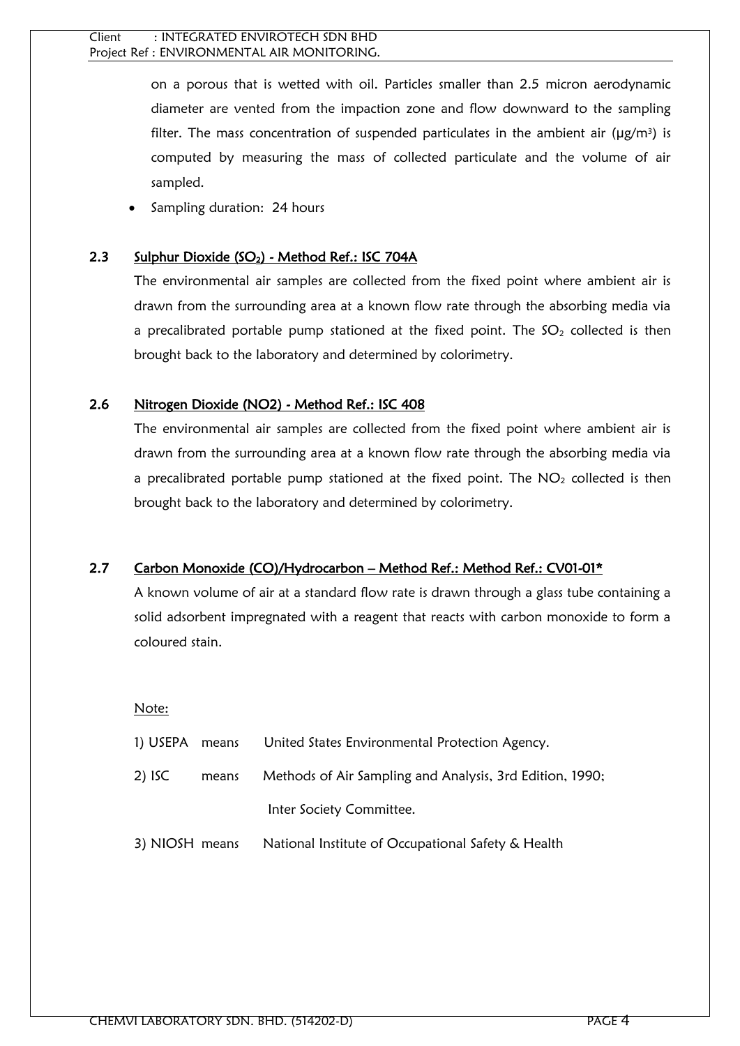on a porous that is wetted with oil. Particles smaller than 2.5 micron aerodynamic diameter are vented from the impaction zone and flow downward to the sampling filter. The mass concentration of suspended particulates in the ambient air ( $\mu$ g/m<sup>3</sup>) is computed by measuring the mass of collected particulate and the volume of air sampled.

Sampling duration: 24 hours

#### 2.3 Sulphur Dioxide (SO<sub>2</sub>) - Method Ref.: ISC 704A

The environmental air samples are collected from the fixed point where ambient air is drawn from the surrounding area at a known flow rate through the absorbing media via a precalibrated portable pump stationed at the fixed point. The  $SO<sub>2</sub>$  collected is then brought back to the laboratory and determined by colorimetry.

#### 2.6 Nitrogen Dioxide (NO2) - Method Ref.: ISC 408

The environmental air samples are collected from the fixed point where ambient air is drawn from the surrounding area at a known flow rate through the absorbing media via a precalibrated portable pump stationed at the fixed point. The  $NO<sub>2</sub>$  collected is then brought back to the laboratory and determined by colorimetry.

# 2.7 Carbon Monoxide (CO)/Hydrocarbon – Method Ref.: Method Ref.: CV01-01\*

A known volume of air at a standard flow rate is drawn through a glass tube containing a solid adsorbent impregnated with a reagent that reacts with carbon monoxide to form a coloured stain.

Note:

| 1) USEPA means |       | United States Environmental Protection Agency.           |
|----------------|-------|----------------------------------------------------------|
| $2)$ ISC       | means | Methods of Air Sampling and Analysis, 3rd Edition, 1990; |
|                |       | Inter Society Committee.                                 |
| 3) NIOSH means |       | National Institute of Occupational Safety & Health       |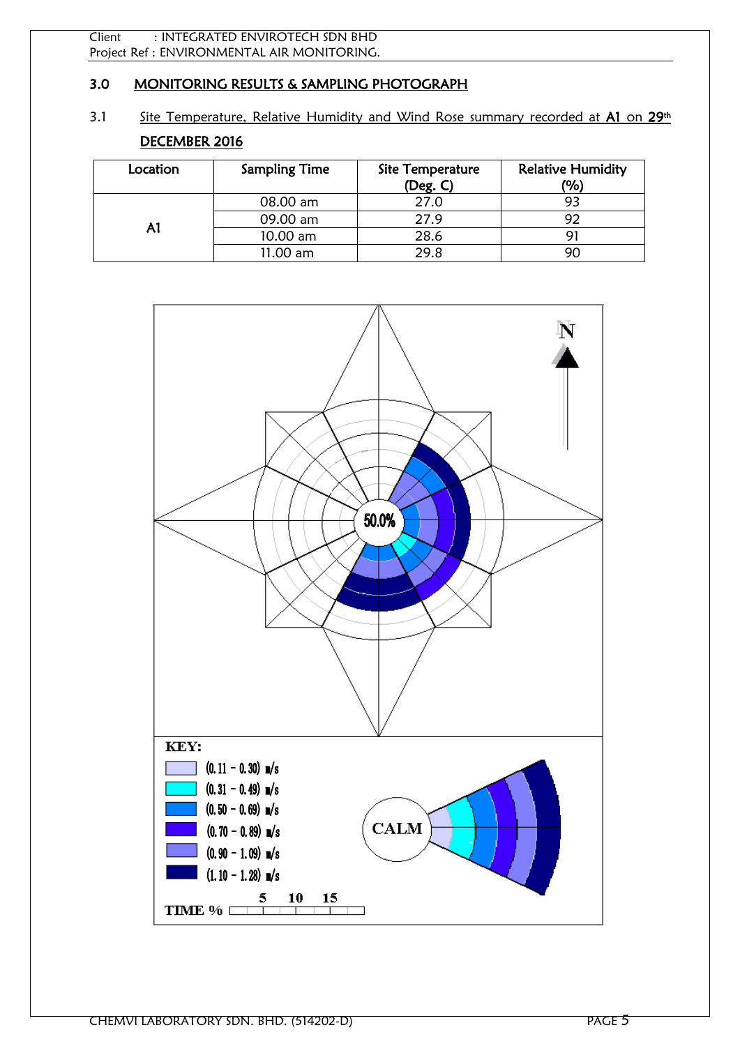# 3.0 MONITORING RESULTS & SAMPLING PHOTOGRAPH

3.1 Site Temperature, Relative Humidity and Wind Rose summary recorded at A1 on 29<sup>th</sup> DECEMBER 2016

| Location | <b>Sampling Time</b> | Site Temperature<br>(Deg. C) | <b>Relative Humidity</b><br>(%) |
|----------|----------------------|------------------------------|---------------------------------|
|          | 08.00 am             | 27.0                         |                                 |
| A1       | 09.00 am             | 27.9                         |                                 |
|          | 10.00 am             | 28.6                         |                                 |
|          | 11.00 am             | 29.8                         |                                 |

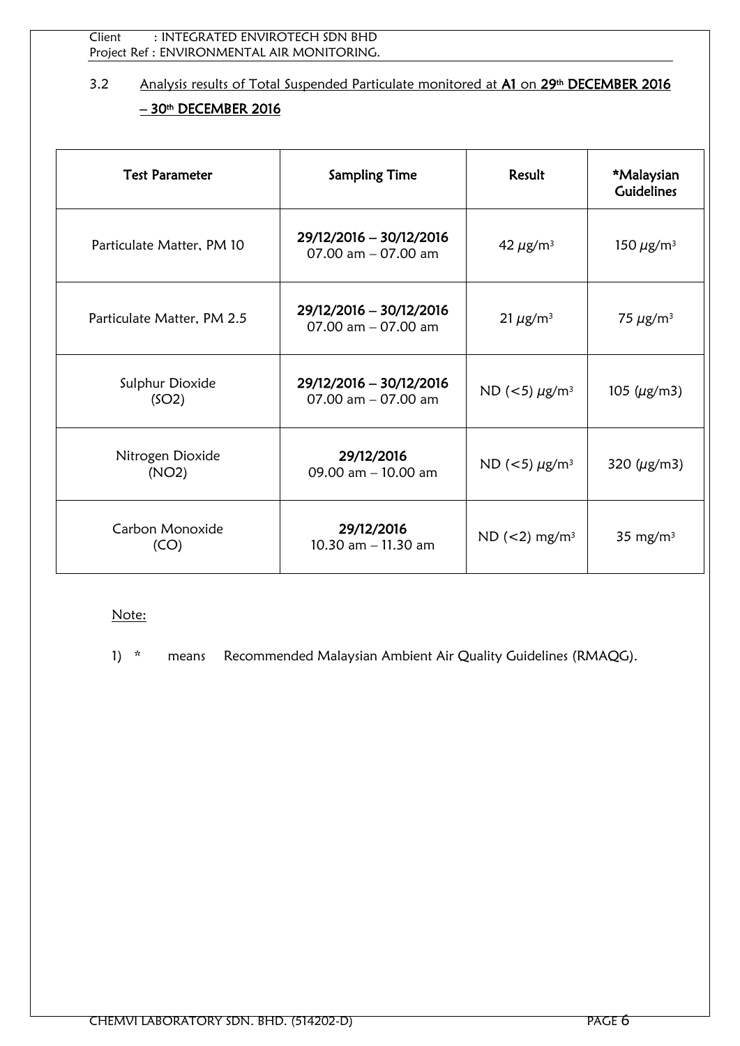Client : INTEGRATED ENVIROTECH SDN BHD Project Ref : ENVIRONMENTAL AIR MONITORING.

# 3.2 Analysis results of Total Suspended Particulate monitored at A1 on 29<sup>th</sup> DECEMBER 2016 <u>– 30th DECEMBER 2016</u>

| <b>Test Parameter</b>      | <b>Sampling Time</b>                             |                                    | *Malaysian<br><b>Guidelines</b> |
|----------------------------|--------------------------------------------------|------------------------------------|---------------------------------|
| Particulate Matter, PM 10  | 29/12/2016 - 30/12/2016<br>07.00 $am - 07.00$ am | 42 $\mu$ g/m <sup>3</sup>          | 150 $\mu$ g/m <sup>3</sup>      |
| Particulate Matter, PM 2.5 | 29/12/2016 - 30/12/2016<br>07.00 $am - 07.00$ am | $21 \mu g/m^3$                     | 75 $\mu$ g/m <sup>3</sup>       |
| Sulphur Dioxide<br>(SO2)   | 29/12/2016 - 30/12/2016<br>07.00 $am - 07.00$ am | ND ( $<$ 5) $\mu$ g/m <sup>3</sup> | 105 ( $\mu$ g/m3)               |
| Nitrogen Dioxide<br>(NO2)  | 29/12/2016<br>09.00 $am - 10.00$ am              | ND ( $<$ 5) $\mu$ g/m <sup>3</sup> | 320 $(\mu$ g/m3)                |
| Carbon Monoxide<br>(CO)    | 29/12/2016<br>10.30 $am - 11.30 am$              | $ND$ (<2) mg/m <sup>3</sup>        | 35 mg/m <sup>3</sup>            |

# Note: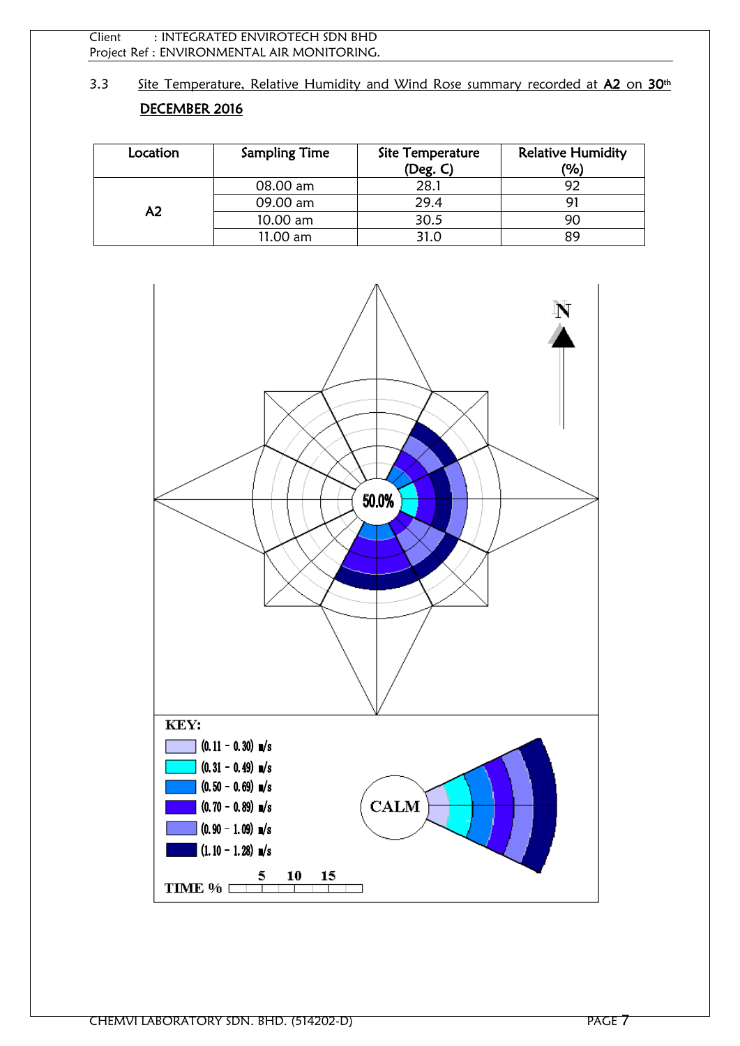Client : INTEGRATED ENVIROTECH SDN BHD Project Ref : ENVIRONMENTAL AIR MONITORING.

3.3 Site Temperature, Relative Humidity and Wind Rose summary recorded at A2 on 30<sup>th</sup> DECEMBER 2016

| Location | <b>Sampling Time</b> | Site Temperature<br>(Deg. C) | <b>Relative Humidity</b><br>(%) |
|----------|----------------------|------------------------------|---------------------------------|
|          | 08.00 am             | 28.1                         |                                 |
| А2       | 09.00 am             | 29.4                         |                                 |
|          | 10.00 am             | 30.5                         | 90                              |
|          | 11.00 am             | 31.0                         | Ωq                              |

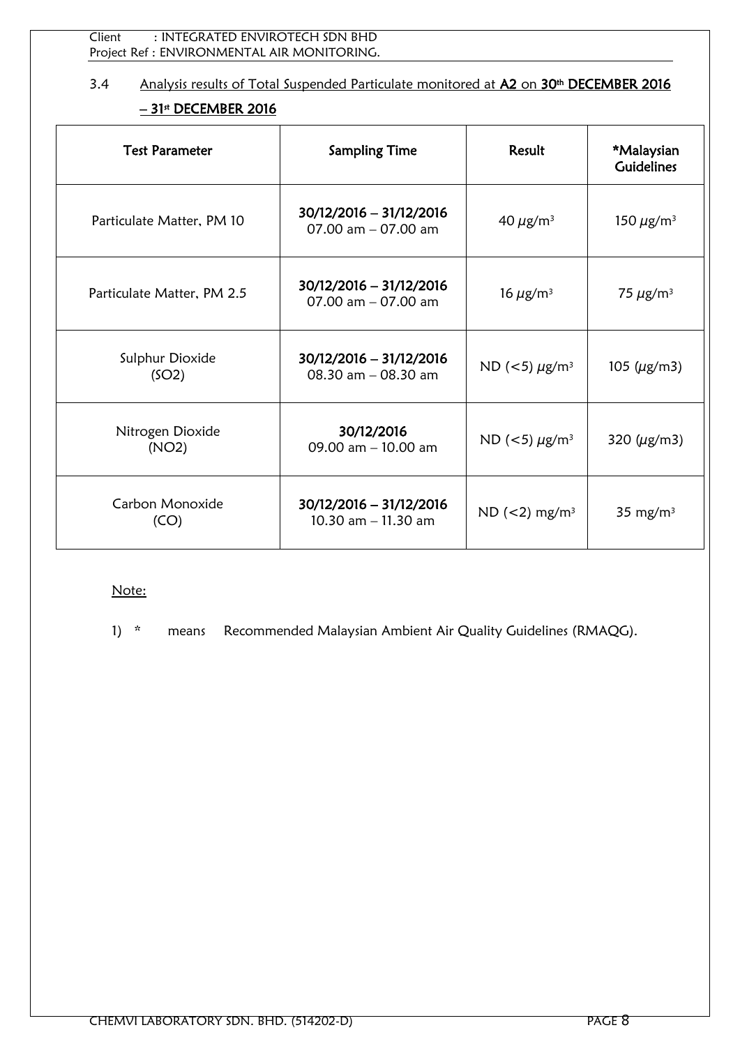# 3.4 Analysis results of Total Suspended Particulate monitored at A2 on 30<sup>th</sup> DECEMBER 2016 <u>– 31ª DECEMBER 2016</u>

| <b>Test Parameter</b><br><b>Sampling Time</b> |                                                  | Result                             | *Malaysian<br><b>Guidelines</b> |
|-----------------------------------------------|--------------------------------------------------|------------------------------------|---------------------------------|
| Particulate Matter, PM 10                     | 30/12/2016 - 31/12/2016<br>07.00 $am - 07.00$ am | 40 $\mu$ g/m <sup>3</sup>          | 150 $\mu$ g/m <sup>3</sup>      |
| Particulate Matter, PM 2.5                    | 30/12/2016 - 31/12/2016<br>07.00 $am - 07.00$ am | 16 $\mu$ g/m <sup>3</sup>          | 75 $\mu$ g/m <sup>3</sup>       |
| Sulphur Dioxide<br>(SO2)                      | 30/12/2016 - 31/12/2016<br>08.30 $am - 08.30 am$ | ND ( $<$ 5) $\mu$ g/m <sup>3</sup> | 105 ( $\mu$ g/m3)               |
| Nitrogen Dioxide<br>(NO2)                     | 30/12/2016<br>09.00 $am - 10.00$ am              | ND ( $<$ 5) $\mu$ g/m <sup>3</sup> | 320 ( $\mu$ g/m3)               |
| Carbon Monoxide<br>(CO)                       | 30/12/2016 - 31/12/2016<br>10.30 $am - 11.30$ am | ND $(<2)$ mg/m <sup>3</sup>        | 35 mg/m <sup>3</sup>            |

Note: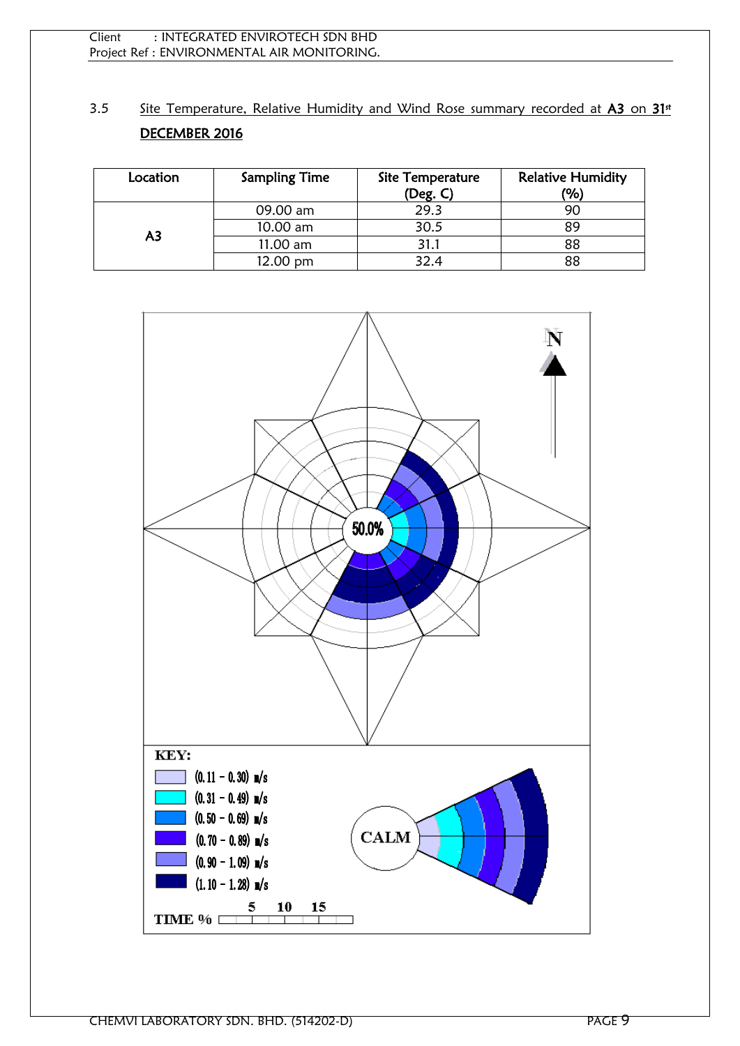3.5 Site Temperature, Relative Humidity and Wind Rose summary recorded at A3 on 31<sup>st</sup> DECEMBER 2016

| Location | <b>Sampling Time</b> | Site Temperature<br>(Deg. C) | <b>Relative Humidity</b><br>(%) |
|----------|----------------------|------------------------------|---------------------------------|
| А3       | 09.00 am             | 29.3                         | 90                              |
|          | 10.00 am             | 30.5                         | 89                              |
|          | 11.00 am             | 31.1                         | 88                              |
|          | 12.00 pm             | 32.4                         | 88                              |

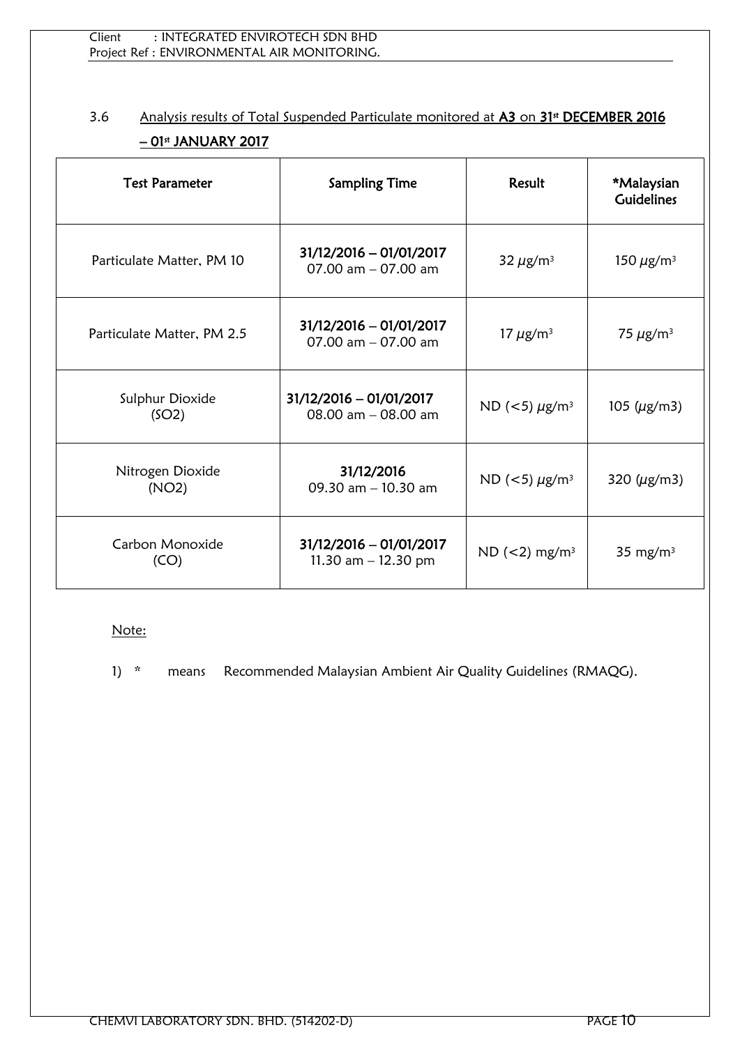# 3.6 Analysis results of Total Suspended Particulate monitored at A3 on 31<sup>st</sup> DECEMBER 2016 <u>– 01ª JANUARY 2017</u>

| <b>Test Parameter</b>      | <b>Sampling Time</b>                             | Result                             | *Malaysian<br><b>Guidelines</b> |
|----------------------------|--------------------------------------------------|------------------------------------|---------------------------------|
| Particulate Matter, PM 10  | 31/12/2016 - 01/01/2017<br>07.00 $am - 07.00$ am | 32 $\mu$ g/m <sup>3</sup>          | 150 $\mu$ g/m <sup>3</sup>      |
| Particulate Matter, PM 2.5 | 31/12/2016 - 01/01/2017<br>07.00 $am - 07.00$ am | 17 $\mu$ g/m <sup>3</sup>          | 75 $\mu$ g/m <sup>3</sup>       |
| Sulphur Dioxide<br>(SO2)   | 31/12/2016 - 01/01/2017<br>08.00 am - 08.00 am   | ND ( $<$ 5) $\mu$ g/m <sup>3</sup> | 105 ( $\mu$ g/m3)               |
| Nitrogen Dioxide<br>(NO2)  | 31/12/2016<br>09.30 am - 10.30 am                | ND ( $<$ 5) $\mu$ g/m <sup>3</sup> | 320 $(\mu$ g/m3)                |
| Carbon Monoxide<br>(CO)    | 31/12/2016 - 01/01/2017<br>11.30 $am - 12.30 pm$ | ND $(<2)$ mg/m <sup>3</sup>        | 35 mg/m <sup>3</sup>            |

# Note: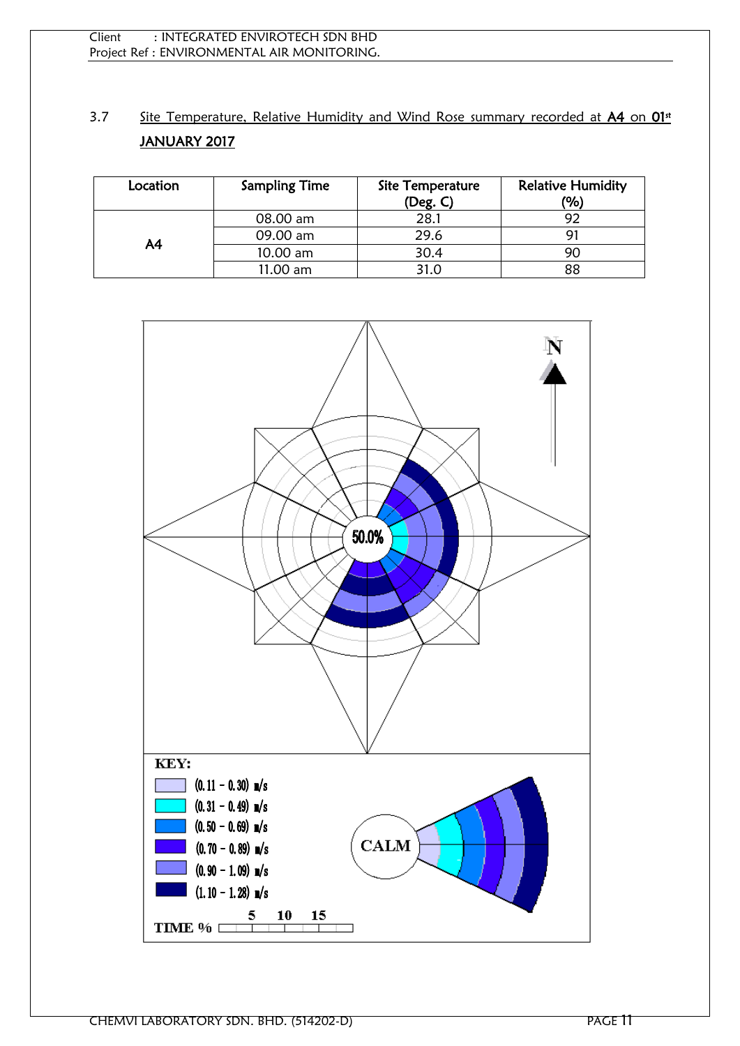# 3.7 Site Temperature, Relative Humidity and Wind Rose summary recorded at A4 on 01<sup>st</sup> JANUARY 2017

| Location | <b>Sampling Time</b> | Site Temperature<br>(Deg. C) | <b>Relative Humidity</b><br>(%) |
|----------|----------------------|------------------------------|---------------------------------|
|          | 08.00 am             | 28.1                         |                                 |
| A4       | 09.00 am             | 29.6                         | 91                              |
|          | 10.00 am             | 30.4                         |                                 |
|          | 11.00 am             | 31.0                         | 88                              |

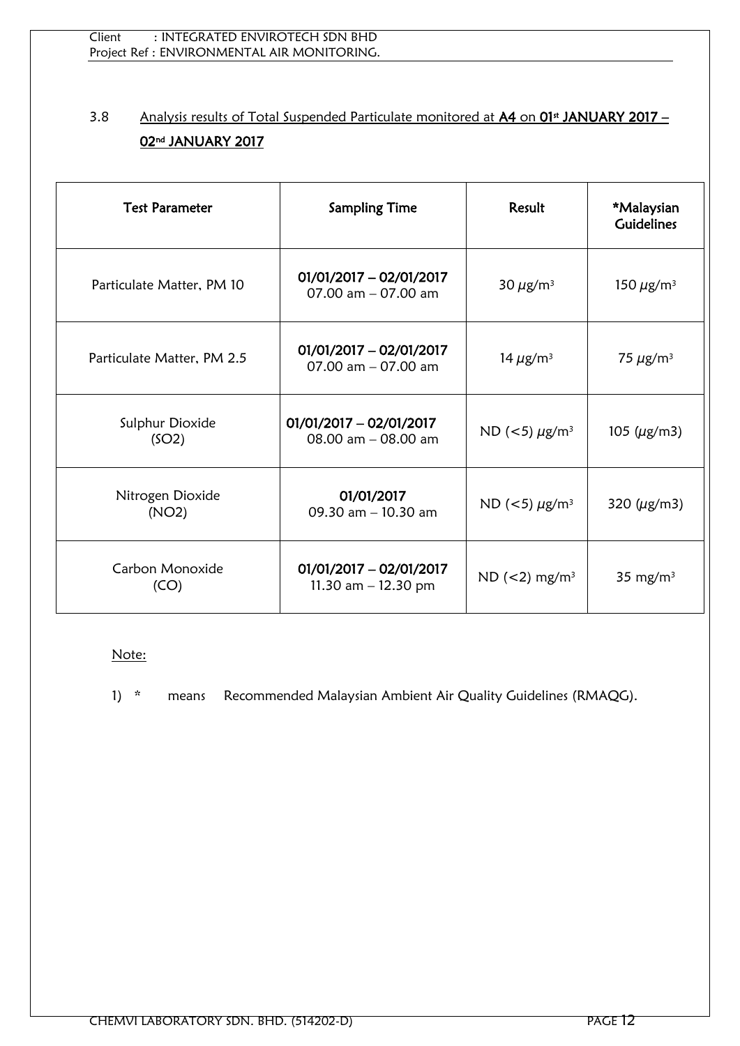# 3.8 Analysis results of Total Suspended Particulate monitored at A4 on 01<sup>st</sup> JANUARY 2017 -02nd JANUARY 2017

| <b>Test Parameter</b><br><b>Sampling Time</b> |                                                    | Result                             | *Malaysian<br><b>Guidelines</b> |
|-----------------------------------------------|----------------------------------------------------|------------------------------------|---------------------------------|
| Particulate Matter, PM 10                     | $01/01/2017 - 02/01/2017$<br>07.00 $am - 07.00$ am | 30 $\mu$ g/m <sup>3</sup>          | 150 $\mu$ g/m <sup>3</sup>      |
| Particulate Matter, PM 2.5                    | $01/01/2017 - 02/01/2017$<br>07.00 $am - 07.00$ am | 14 $\mu$ g/m <sup>3</sup>          | 75 $\mu$ g/m <sup>3</sup>       |
| Sulphur Dioxide<br>(SO2)                      | $01/01/2017 - 02/01/2017$<br>08.00 $am - 08.00$ am | ND ( $<$ 5) $\mu$ g/m <sup>3</sup> | 105 ( $\mu$ g/m3)               |
| Nitrogen Dioxide<br>(NO2)                     | 01/01/2017<br>09.30 am - 10.30 am                  | ND ( $<$ 5) $\mu$ g/m <sup>3</sup> | 320 $(\mu$ g/m3)                |
| Carbon Monoxide<br>(CO)                       | $01/01/2017 - 02/01/2017$<br>11.30 $am - 12.30 pm$ | ND $(<2)$ mg/m <sup>3</sup>        | 35 mg/m <sup>3</sup>            |

#### Note: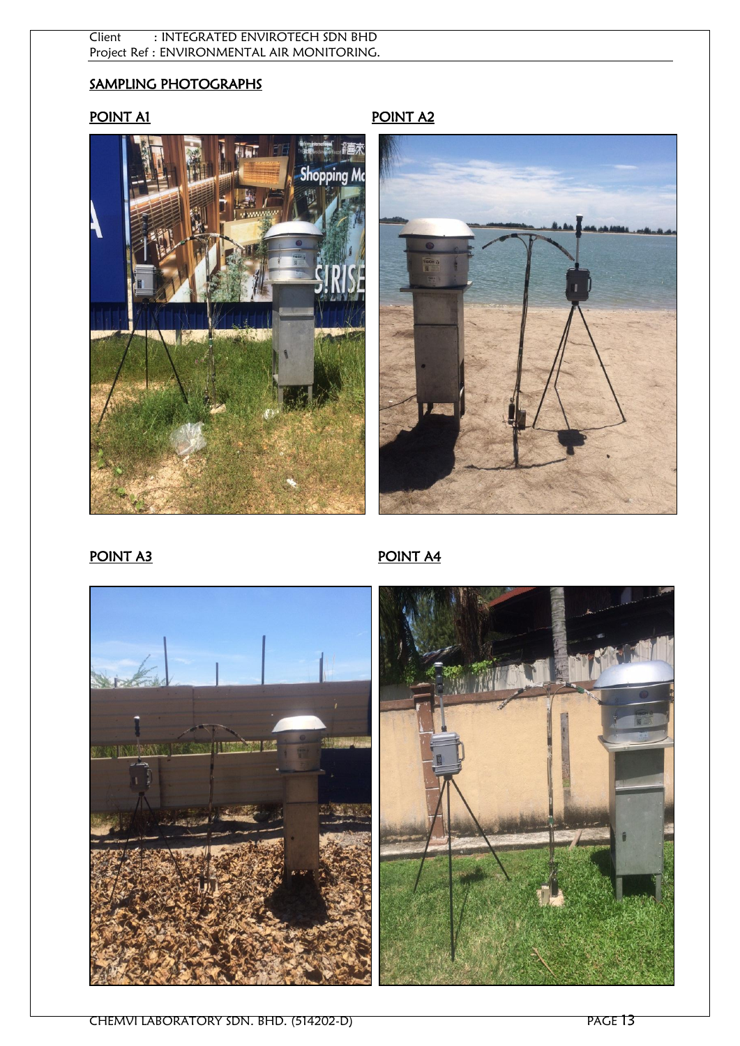#### Client : INTEGRATED ENVIROTECH SDN BHD Project Ref : ENVIRONMENTAL AIR MONITORING.

# SAMPLING PHOTOGRAPHS

# POINT A1





# POINT A3





 $\mathsf{I}$